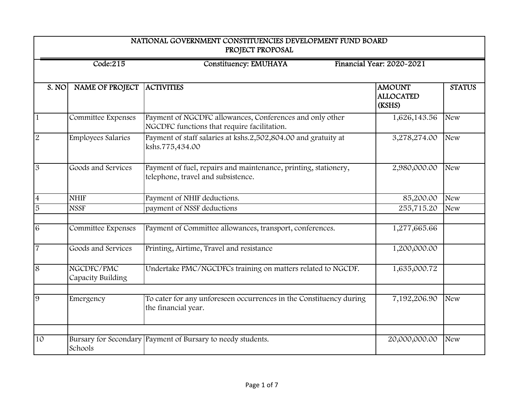| NATIONAL GOVERNMENT CONSTITUENCIES DEVELOPMENT FUND BOARD<br>PROJECT PROPOSAL |                                                                       |                                                                                                         |                                             |               |  |  |
|-------------------------------------------------------------------------------|-----------------------------------------------------------------------|---------------------------------------------------------------------------------------------------------|---------------------------------------------|---------------|--|--|
|                                                                               | Financial Year: 2020-2021<br>Code:215<br><b>Constituency: EMUHAYA</b> |                                                                                                         |                                             |               |  |  |
| S. NO                                                                         | NAME OF PROJECT                                                       | <b>ACTIVITIES</b>                                                                                       | <b>AMOUNT</b><br><b>ALLOCATED</b><br>(KSHS) | <b>STATUS</b> |  |  |
| $\mathbf{1}$                                                                  | Committee Expenses                                                    | Payment of NGCDFC allowances, Conferences and only other<br>NGCDFC functions that require facilitation. | 1,626,143.56                                | <b>New</b>    |  |  |
| $\overline{2}$                                                                | <b>Employees Salaries</b>                                             | Payment of staff salaries at kshs.2,502,804.00 and gratuity at<br>kshs.775,434.00                       | 3,278,274.00                                | <b>New</b>    |  |  |
| $\mathfrak{B}$                                                                | Goods and Services                                                    | Payment of fuel, repairs and maintenance, printing, stationery,<br>telephone, travel and subsistence.   | 2,980,000.00                                | <b>New</b>    |  |  |
| $\overline{4}$                                                                | <b>NHIF</b>                                                           | Payment of NHIF deductions.                                                                             | 85,200.00                                   | <b>New</b>    |  |  |
| $\overline{5}$                                                                | <b>NSSF</b>                                                           | payment of NSSF deductions                                                                              | 255,715.20                                  | <b>New</b>    |  |  |
| 6                                                                             | Committee Expenses                                                    | Payment of Committee allowances, transport, conferences.                                                | 1,277,665.66                                |               |  |  |
| $\overline{7}$                                                                | Goods and Services                                                    | Printing, Airtime, Travel and resistance                                                                | 1,200,000.00                                |               |  |  |
| 8                                                                             | NGCDFC/PMC<br>Capacity Building                                       | Undertake PMC/NGCDFCs training on matters related to NGCDF.                                             | 1,635,000.72                                |               |  |  |
| 9                                                                             | Emergency                                                             | To cater for any unforeseen occurrences in the Constituency during<br>the financial year.               | 7,192,206.90                                | <b>New</b>    |  |  |
|                                                                               |                                                                       |                                                                                                         |                                             |               |  |  |
| 10                                                                            | Schools                                                               | Bursary for Secondary Payment of Bursary to needy students.                                             | 20,000,000.00                               | <b>New</b>    |  |  |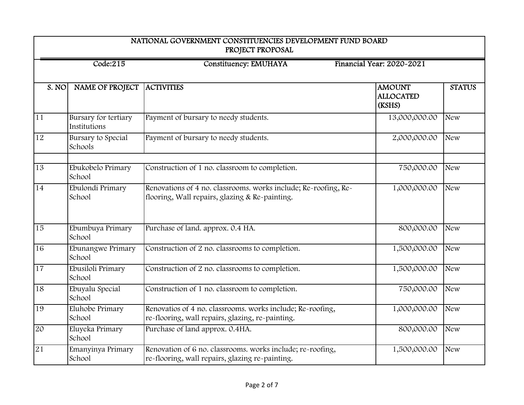| NATIONAL GOVERNMENT CONSTITUENCIES DEVELOPMENT FUND BOARD<br>PROJECT PROPOSAL |                                                                       |                                                                                                                   |                                             |               |  |  |
|-------------------------------------------------------------------------------|-----------------------------------------------------------------------|-------------------------------------------------------------------------------------------------------------------|---------------------------------------------|---------------|--|--|
|                                                                               | Financial Year: 2020-2021<br>Code:215<br><b>Constituency: EMUHAYA</b> |                                                                                                                   |                                             |               |  |  |
| S. NO                                                                         | <b>NAME OF PROJECT</b>                                                | <b>ACTIVITIES</b>                                                                                                 | <b>AMOUNT</b><br><b>ALLOCATED</b><br>(KSHS) | <b>STATUS</b> |  |  |
| $\overline{11}$                                                               | Bursary for tertiary<br>Institutions                                  | Payment of bursary to needy students.                                                                             | 13,000,000.00                               | <b>New</b>    |  |  |
| $\overline{12}$                                                               | Bursary to Special<br>Schools                                         | Payment of bursary to needy students.                                                                             | 2,000,000.00                                | <b>New</b>    |  |  |
| 13                                                                            | Ebukobelo Primary<br>School                                           | Construction of 1 no. classroom to completion.                                                                    | 750,000.00                                  | <b>New</b>    |  |  |
| 14                                                                            | Ebulondi Primary<br>School                                            | Renovations of 4 no. classrooms. works include; Re-roofing, Re-<br>flooring, Wall repairs, glazing & Re-painting. | 1,000,000.00                                | <b>New</b>    |  |  |
| $\overline{15}$                                                               | Ebumbuya Primary<br>School                                            | Purchase of land. approx. 0.4 HA.                                                                                 | 800,000.00                                  | <b>New</b>    |  |  |
| 16                                                                            | Ebunangwe Primary<br>School                                           | Construction of 2 no. classrooms to completion.                                                                   | 1,500,000.00                                | <b>New</b>    |  |  |
| 17                                                                            | Ebusiloli Primary<br>School                                           | Construction of 2 no. classrooms to completion.                                                                   | 1,500,000.00                                | <b>New</b>    |  |  |
| $\overline{18}$                                                               | Ebuyalu Special<br>School                                             | Construction of 1 no. classroom to completion.                                                                    | 750,000.00                                  | <b>New</b>    |  |  |
| 19                                                                            | Eluhobe Primary<br>School                                             | Renovatios of 4 no. classrooms. works include; Re-roofing,<br>re-flooring, wall repairs, glazing, re-painting.    | 1,000,000.00                                | <b>New</b>    |  |  |
| 20                                                                            | Eluyeka Primary<br>School                                             | Purchase of land approx. 0.4HA.                                                                                   | 800,000.00                                  | <b>New</b>    |  |  |
| 21                                                                            | Emanyinya Primary<br>School                                           | Renovation of 6 no. classrooms. works include; re-roofing,<br>re-flooring, wall repairs, glazing re-painting.     | 1,500,000.00                                | <b>New</b>    |  |  |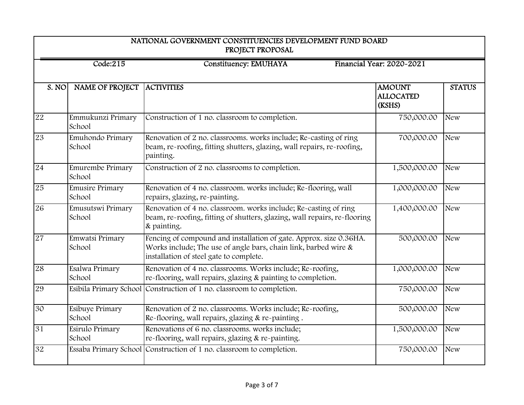| NATIONAL GOVERNMENT CONSTITUENCIES DEVELOPMENT FUND BOARD<br>PROJECT PROPOSAL |                                                                       |                                                                                                                                                                                     |                                             |               |  |  |
|-------------------------------------------------------------------------------|-----------------------------------------------------------------------|-------------------------------------------------------------------------------------------------------------------------------------------------------------------------------------|---------------------------------------------|---------------|--|--|
|                                                                               | Financial Year: 2020~2021<br>Code:215<br><b>Constituency: EMUHAYA</b> |                                                                                                                                                                                     |                                             |               |  |  |
| S. NO                                                                         | NAME OF PROJECT                                                       | <b>ACTIVITIES</b>                                                                                                                                                                   | <b>AMOUNT</b><br><b>ALLOCATED</b><br>(KSHS) | <b>STATUS</b> |  |  |
| 22                                                                            | Emmukunzi Primary<br>School                                           | Construction of 1 no. classroom to completion.                                                                                                                                      | 750,000.00                                  | <b>New</b>    |  |  |
| 23                                                                            | Emuhondo Primary<br>School                                            | Renovation of 2 no. classrooms. works include; Re-casting of ring<br>beam, re-roofing, fitting shutters, glazing, wall repairs, re-roofing,<br>painting.                            | 700,000.00                                  | <b>New</b>    |  |  |
| 24                                                                            | Emurembe Primary<br>School                                            | Construction of 2 no. classrooms to completion.                                                                                                                                     | 1,500,000.00                                | <b>New</b>    |  |  |
| 25                                                                            | <b>Emusire Primary</b><br>School                                      | Renovation of 4 no. classroom. works include; Re-flooring, wall<br>repairs, glazing, re-painting.                                                                                   | 1,000,000.00                                | <b>New</b>    |  |  |
| 26                                                                            | Emusutswi Primary<br>School                                           | Renovation of 4 no. classroom, works include; Re-casting of ring<br>beam, re-roofing, fitting of shutters, glazing, wall repairs, re-flooring<br>& painting.                        | 1,400,000.00                                | <b>New</b>    |  |  |
| 27                                                                            | Emwatsi Primary<br>School                                             | Fencing of compound and installation of gate. Approx. size 0.36HA.<br>Works include; The use of angle bars, chain link, barbed wire $\&$<br>installation of steel gate to complete. | 500,000.00                                  | <b>New</b>    |  |  |
| 28                                                                            | Esalwa Primary<br>School                                              | Renovation of 4 no. classrooms. Works include; Re-roofing,<br>re-flooring, wall repairs, glazing & painting to completion.                                                          | 1,000,000.00                                | <b>New</b>    |  |  |
| 29                                                                            |                                                                       | Esibila Primary School Construction of 1 no. classroom to completion.                                                                                                               | 750,000.00                                  | <b>New</b>    |  |  |
| 30                                                                            | Esibuye Primary<br>School                                             | Renovation of 2 no. classrooms. Works include; Re-roofing,<br>Re-flooring, wall repairs, glazing & re-painting.                                                                     | 500,000.00                                  | <b>New</b>    |  |  |
| 31                                                                            | Esirulo Primary<br>School                                             | Renovations of 6 no. classrooms. works include;<br>re-flooring, wall repairs, glazing & re-painting.                                                                                | 1,500,000.00                                | <b>New</b>    |  |  |
| 32                                                                            |                                                                       | Essaba Primary School Construction of 1 no. classroom to completion.                                                                                                                | 750,000.00                                  | <b>New</b>    |  |  |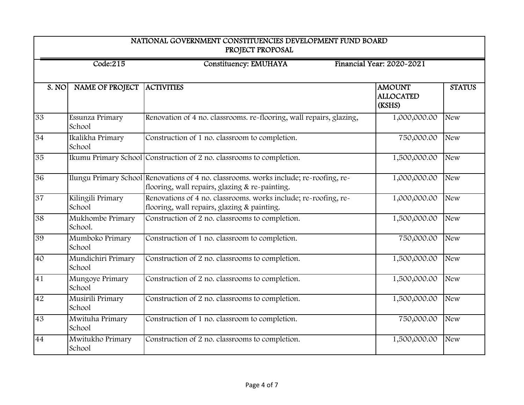| NATIONAL GOVERNMENT CONSTITUENCIES DEVELOPMENT FUND BOARD<br>PROJECT PROPOSAL |                                                                       |                                                                                                                                         |                                             |               |  |  |
|-------------------------------------------------------------------------------|-----------------------------------------------------------------------|-----------------------------------------------------------------------------------------------------------------------------------------|---------------------------------------------|---------------|--|--|
|                                                                               | Financial Year: 2020-2021<br><b>Constituency: EMUHAYA</b><br>Code:215 |                                                                                                                                         |                                             |               |  |  |
| S. NO                                                                         | NAME OF PROJECT                                                       | <b>ACTIVITIES</b>                                                                                                                       | <b>AMOUNT</b><br><b>ALLOCATED</b><br>(KSHS) | <b>STATUS</b> |  |  |
| 33                                                                            | Essunza Primary<br>School                                             | Renovation of 4 no. classrooms. re-flooring, wall repairs, glazing,                                                                     | 1,000,000.00                                | <b>New</b>    |  |  |
| 34                                                                            | Ikalikha Primary<br>School                                            | Construction of 1 no. classroom to completion.                                                                                          | 750,000.00                                  | <b>New</b>    |  |  |
| 35                                                                            |                                                                       | Ikumu Primary School Construction of 2 no. classrooms to completion.                                                                    | 1,500,000.00                                | <b>New</b>    |  |  |
| 36                                                                            |                                                                       | Ilungu Primary School Renovations of 4 no. classrooms. works include; re-roofing, re-<br>flooring, wall repairs, glazing & re-painting. | 1,000,000.00                                | <b>New</b>    |  |  |
| $\overline{37}$                                                               | Kilingili Primary<br>School                                           | Renovations of 4 no. classrooms. works include; re-roofing, re-<br>flooring, wall repairs, glazing & painting.                          | 1,000,000.00                                | <b>New</b>    |  |  |
| 38                                                                            | Mukhombe Primary<br>School.                                           | Construction of 2 no. classrooms to completion.                                                                                         | 1,500,000.00                                | <b>New</b>    |  |  |
| 39                                                                            | Mumboko Primary<br>School                                             | Construction of 1 no. classroom to completion.                                                                                          | 750,000.00                                  | <b>New</b>    |  |  |
| 40                                                                            | Mundichiri Primary<br>School                                          | Construction of 2 no. classrooms to completion.                                                                                         | 1,500,000.00                                | <b>New</b>    |  |  |
| 41                                                                            | Mungoye Primary<br>School                                             | Construction of 2 no. classrooms to completion.                                                                                         | 1,500,000.00                                | <b>New</b>    |  |  |
| 42                                                                            | Musirili Primary<br>School                                            | Construction of 2 no. classrooms to completion.                                                                                         | 1,500,000.00                                | <b>New</b>    |  |  |
| 43                                                                            | Mwituha Primary<br>School                                             | Construction of 1 no. classroom to completion.                                                                                          | 750,000.00                                  | <b>New</b>    |  |  |
| 44                                                                            | Mwitukho Primary<br>School                                            | Construction of 2 no. classrooms to completion.                                                                                         | 1,500,000.00                                | <b>New</b>    |  |  |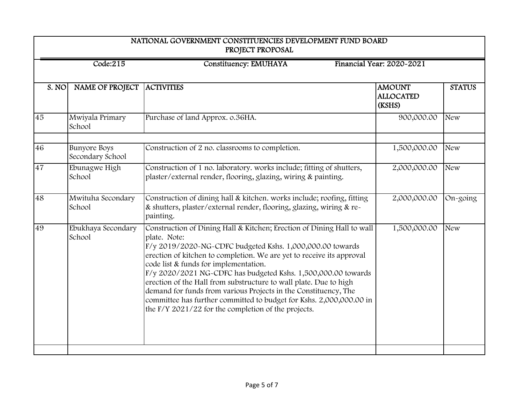| NATIONAL GOVERNMENT CONSTITUENCIES DEVELOPMENT FUND BOARD<br>PROJECT PROPOSAL |                                         |                                                                                                                                                                                                                                                                                                                                                                                                                                                                                                                                                                                                                |                                             |               |  |
|-------------------------------------------------------------------------------|-----------------------------------------|----------------------------------------------------------------------------------------------------------------------------------------------------------------------------------------------------------------------------------------------------------------------------------------------------------------------------------------------------------------------------------------------------------------------------------------------------------------------------------------------------------------------------------------------------------------------------------------------------------------|---------------------------------------------|---------------|--|
| <b>Constituency: EMUHAYA</b><br>Financial Year: 2020-2021<br>Code:215         |                                         |                                                                                                                                                                                                                                                                                                                                                                                                                                                                                                                                                                                                                |                                             |               |  |
| S. NO                                                                         | NAME OF PROJECT                         | <b>ACTIVITIES</b>                                                                                                                                                                                                                                                                                                                                                                                                                                                                                                                                                                                              | <b>AMOUNT</b><br><b>ALLOCATED</b><br>(KSHS) | <b>STATUS</b> |  |
| 45                                                                            | Mwiyala Primary<br>School               | Purchase of land Approx. o.36HA.                                                                                                                                                                                                                                                                                                                                                                                                                                                                                                                                                                               | 900,000.00                                  | <b>New</b>    |  |
| 46                                                                            | <b>Bunyore Boys</b><br>Secondary School | Construction of 2 no. classrooms to completion.                                                                                                                                                                                                                                                                                                                                                                                                                                                                                                                                                                | 1,500,000.00                                | <b>New</b>    |  |
| 47                                                                            | Ebunagwe High<br>School                 | Construction of 1 no. laboratory. works include; fitting of shutters,<br>plaster/external render, flooring, glazing, wiring & painting.                                                                                                                                                                                                                                                                                                                                                                                                                                                                        | 2,000,000.00                                | <b>New</b>    |  |
| 48                                                                            | Mwituha Secondary<br>School             | Construction of dining hall & kitchen. works include; roofing, fitting<br>& shutters, plaster/external render, flooring, glazing, wiring & re-<br>painting.                                                                                                                                                                                                                                                                                                                                                                                                                                                    | 2,000,000.00                                | $On-going$    |  |
| 49                                                                            | Ebukhaya Secondary<br>School            | Construction of Dining Hall & Kitchen; Erection of Dining Hall to wall<br>plate. Note:<br>F/y 2019/2020-NG-CDFC budgeted Kshs. 1,000,000.00 towards<br>erection of kitchen to completion. We are yet to receive its approval<br>code list & funds for implementation.<br>F/y 2020/2021 NG-CDFC has budgeted Kshs. 1,500,000.00 towards<br>erection of the Hall from substructure to wall plate. Due to high<br>demand for funds from various Projects in the Constituency, The<br>committee has further committed to budget for Kshs. 2,000,000.00 in<br>the $F/Y$ 2021/22 for the completion of the projects. | 1,500,000.00                                | <b>New</b>    |  |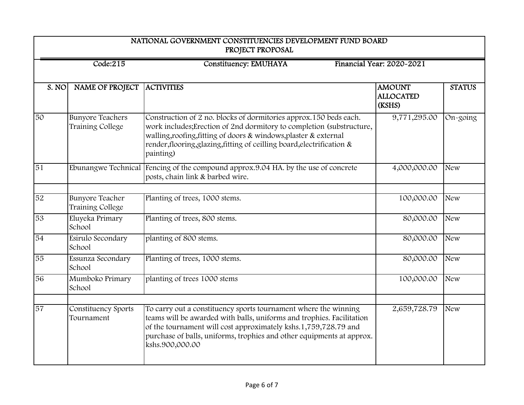| NATIONAL GOVERNMENT CONSTITUENCIES DEVELOPMENT FUND BOARD<br>PROJECT PROPOSAL |                                                                       |                                                                                                                                                                                                                                                                                                         |                                             |               |  |  |
|-------------------------------------------------------------------------------|-----------------------------------------------------------------------|---------------------------------------------------------------------------------------------------------------------------------------------------------------------------------------------------------------------------------------------------------------------------------------------------------|---------------------------------------------|---------------|--|--|
|                                                                               | Financial Year: 2020-2021<br>Code:215<br><b>Constituency: EMUHAYA</b> |                                                                                                                                                                                                                                                                                                         |                                             |               |  |  |
| S. NO                                                                         | NAME OF PROJECT                                                       | <b>ACTIVITIES</b>                                                                                                                                                                                                                                                                                       | <b>AMOUNT</b><br><b>ALLOCATED</b><br>(KSHS) | <b>STATUS</b> |  |  |
| 50                                                                            | <b>Bunyore Teachers</b><br>Training College                           | Construction of 2 no. blocks of dormitories approx.150 beds each.<br>work includes; Erection of 2nd dormitory to completion (substructure,<br>walling, roofing, fitting of doors & windows, plaster & external<br>render, flooring, glazing, fitting of ceilling board, electrification &<br>painting)  | 9,771,295.00                                | On-going      |  |  |
| 51                                                                            |                                                                       | Ebunangwe Technical Fencing of the compound approx.9.04 HA. by the use of concrete<br>posts, chain link & barbed wire.                                                                                                                                                                                  | 4,000,000.00                                | <b>New</b>    |  |  |
| 52                                                                            | <b>Bunyore Teacher</b><br>Training College                            | Planting of trees, 1000 stems.                                                                                                                                                                                                                                                                          | 100,000.00                                  | <b>New</b>    |  |  |
| 53                                                                            | Eluyeka Primary<br>School                                             | Planting of trees, 800 stems.                                                                                                                                                                                                                                                                           | 80,000.00                                   | <b>New</b>    |  |  |
| 54                                                                            | Esirulo Secondary<br>School                                           | planting of 800 stems.                                                                                                                                                                                                                                                                                  | 80,000.00                                   | <b>New</b>    |  |  |
| 55                                                                            | Essunza Secondary<br>School                                           | Planting of trees, 1000 stems.                                                                                                                                                                                                                                                                          | 80,000.00                                   | <b>New</b>    |  |  |
| 56                                                                            | Mumboko Primary<br>School                                             | planting of trees 1000 stems                                                                                                                                                                                                                                                                            | 100,000.00                                  | <b>New</b>    |  |  |
| 57                                                                            | Constituency Sports<br>Tournament                                     | To carry out a constituency sports tournament where the winning<br>teams will be awarded with balls, uniforms and trophies. Facilitation<br>of the tournament will cost approximately kshs.1,759,728.79 and<br>purchase of balls, uniforms, trophies and other equipments at approx.<br>kshs.900,000.00 | 2,659,728.79                                | <b>New</b>    |  |  |